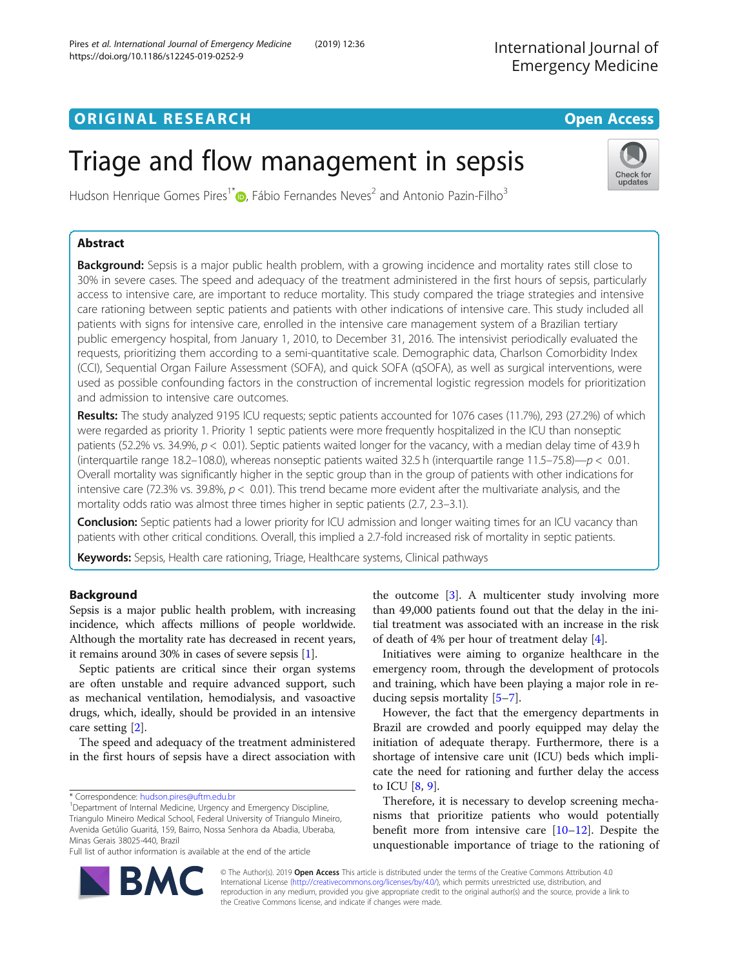# **ORIGINAL RESEARCH CONFIDENTIAL CONFIDENTIAL CONFIDENTIAL CONFIDENTIAL CONFIDENTIAL CONFIDENTIAL CONFIDENTIAL CONFIDENTIAL CONFIDENTIAL CONFIDENTIAL CONFIDENTIAL CONFIDENTIAL CONFIDENTIAL CONFIDENTIAL CONFIDENTIAL CONFIDEN**

# Triage and flow management in sepsis

Hudson Henrique Gomes Pires<sup>1[\\*](http://orcid.org/0000-0002-3439-9473)</sup> <sub>(b</sub>, Fábio Fernandes Neves<sup>2</sup> and Antonio Pazin-Filho<sup>3</sup>

# Abstract

Background: Sepsis is a major public health problem, with a growing incidence and mortality rates still close to 30% in severe cases. The speed and adequacy of the treatment administered in the first hours of sepsis, particularly access to intensive care, are important to reduce mortality. This study compared the triage strategies and intensive care rationing between septic patients and patients with other indications of intensive care. This study included all patients with signs for intensive care, enrolled in the intensive care management system of a Brazilian tertiary public emergency hospital, from January 1, 2010, to December 31, 2016. The intensivist periodically evaluated the requests, prioritizing them according to a semi-quantitative scale. Demographic data, Charlson Comorbidity Index (CCI), Sequential Organ Failure Assessment (SOFA), and quick SOFA (qSOFA), as well as surgical interventions, were used as possible confounding factors in the construction of incremental logistic regression models for prioritization and admission to intensive care outcomes.

Results: The study analyzed 9195 ICU requests; septic patients accounted for 1076 cases (11.7%), 293 (27.2%) of which were regarded as priority 1. Priority 1 septic patients were more frequently hospitalized in the ICU than nonseptic patients (52.2% vs. 34.9%,  $p < 0.01$ ). Septic patients waited longer for the vacancy, with a median delay time of 43.9 h (interquartile range 18.2–108.0), whereas nonseptic patients waited 32.5 h (interquartile range 11.5–75.8)— $p < 0.01$ . Overall mortality was significantly higher in the septic group than in the group of patients with other indications for intensive care (72.3% vs. 39.8%,  $p < 0.01$ ). This trend became more evident after the multivariate analysis, and the mortality odds ratio was almost three times higher in septic patients (2.7, 2.3–3.1).

**Conclusion:** Septic patients had a lower priority for ICU admission and longer waiting times for an ICU vacancy than patients with other critical conditions. Overall, this implied a 2.7-fold increased risk of mortality in septic patients.

**Keywords:** Sepsis, Health care rationing, Triage, Healthcare systems, Clinical pathways

# Background

Sepsis is a major public health problem, with increasing incidence, which affects millions of people worldwide. Although the mortality rate has decreased in recent years, it remains around 30% in cases of severe sepsis [\[1](#page-6-0)].

Septic patients are critical since their organ systems are often unstable and require advanced support, such as mechanical ventilation, hemodialysis, and vasoactive drugs, which, ideally, should be provided in an intensive care setting [[2\]](#page-6-0).

The speed and adequacy of the treatment administered in the first hours of sepsis have a direct association with

\* Correspondence: [hudson.pires@uftm.edu.br](mailto:hudson.pires@uftm.edu.br) <sup>1</sup>

<sup>1</sup>Department of Internal Medicine, Urgency and Emergency Discipline, Triangulo Mineiro Medical School, Federal University of Triangulo Mineiro, Avenida Getúlio Guaritá, 159, Bairro, Nossa Senhora da Abadia, Uberaba, Minas Gerais 38025-440, Brazil

Full list of author information is available at the end of the article

the outcome [\[3\]](#page-6-0). A multicenter study involving more than 49,000 patients found out that the delay in the initial treatment was associated with an increase in the risk of death of 4% per hour of treatment delay [\[4](#page-6-0)].

Initiatives were aiming to organize healthcare in the emergency room, through the development of protocols and training, which have been playing a major role in reducing sepsis mortality [\[5](#page-6-0)–[7\]](#page-6-0).

However, the fact that the emergency departments in Brazil are crowded and poorly equipped may delay the initiation of adequate therapy. Furthermore, there is a shortage of intensive care unit (ICU) beds which implicate the need for rationing and further delay the access to ICU [\[8](#page-6-0), [9](#page-6-0)].

Therefore, it is necessary to develop screening mechanisms that prioritize patients who would potentially benefit more from intensive care  $[10-12]$  $[10-12]$  $[10-12]$ . Despite the unquestionable importance of triage to the rationing of

© The Author(s). 2019 Open Access This article is distributed under the terms of the Creative Commons Attribution 4.0 International License [\(http://creativecommons.org/licenses/by/4.0/](http://creativecommons.org/licenses/by/4.0/)), which permits unrestricted use, distribution, and reproduction in any medium, provided you give appropriate credit to the original author(s) and the source, provide a link to the Creative Commons license, and indicate if changes were made.





International Journal of Emergency Medicine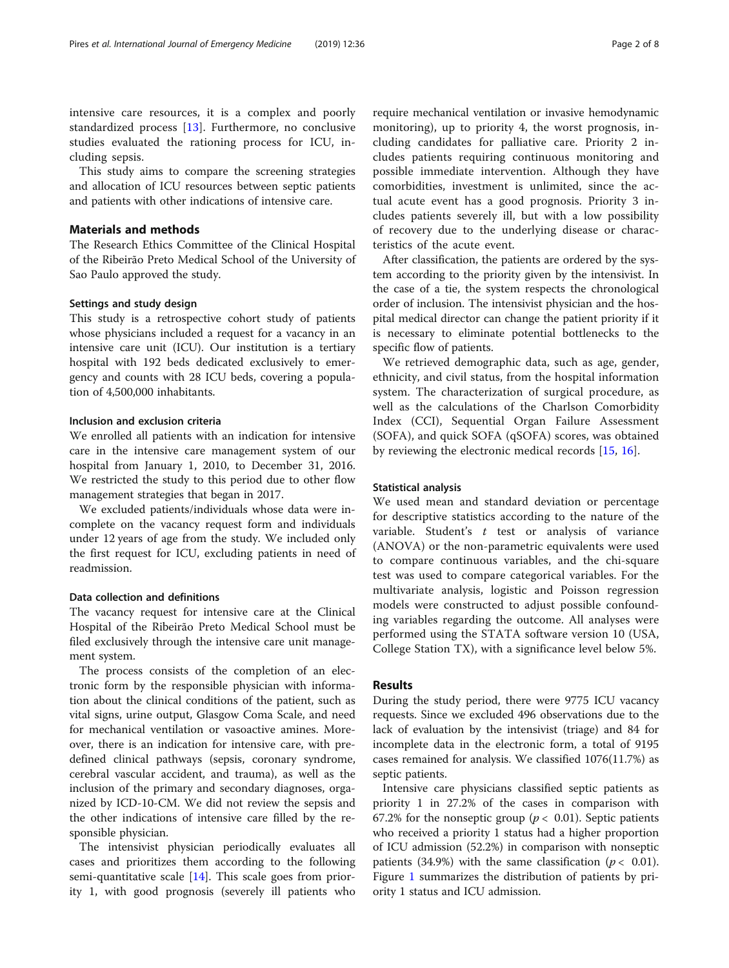intensive care resources, it is a complex and poorly standardized process [[13\]](#page-6-0). Furthermore, no conclusive studies evaluated the rationing process for ICU, including sepsis.

This study aims to compare the screening strategies and allocation of ICU resources between septic patients and patients with other indications of intensive care.

# Materials and methods

The Research Ethics Committee of the Clinical Hospital of the Ribeirão Preto Medical School of the University of Sao Paulo approved the study.

## Settings and study design

This study is a retrospective cohort study of patients whose physicians included a request for a vacancy in an intensive care unit (ICU). Our institution is a tertiary hospital with 192 beds dedicated exclusively to emergency and counts with 28 ICU beds, covering a population of 4,500,000 inhabitants.

# Inclusion and exclusion criteria

We enrolled all patients with an indication for intensive care in the intensive care management system of our hospital from January 1, 2010, to December 31, 2016. We restricted the study to this period due to other flow management strategies that began in 2017.

We excluded patients/individuals whose data were incomplete on the vacancy request form and individuals under 12 years of age from the study. We included only the first request for ICU, excluding patients in need of readmission.

## Data collection and definitions

The vacancy request for intensive care at the Clinical Hospital of the Ribeirão Preto Medical School must be filed exclusively through the intensive care unit management system.

The process consists of the completion of an electronic form by the responsible physician with information about the clinical conditions of the patient, such as vital signs, urine output, Glasgow Coma Scale, and need for mechanical ventilation or vasoactive amines. Moreover, there is an indication for intensive care, with predefined clinical pathways (sepsis, coronary syndrome, cerebral vascular accident, and trauma), as well as the inclusion of the primary and secondary diagnoses, organized by ICD-10-CM. We did not review the sepsis and the other indications of intensive care filled by the responsible physician.

The intensivist physician periodically evaluates all cases and prioritizes them according to the following semi-quantitative scale [[14](#page-6-0)]. This scale goes from priority 1, with good prognosis (severely ill patients who

require mechanical ventilation or invasive hemodynamic monitoring), up to priority 4, the worst prognosis, including candidates for palliative care. Priority 2 includes patients requiring continuous monitoring and possible immediate intervention. Although they have comorbidities, investment is unlimited, since the actual acute event has a good prognosis. Priority 3 includes patients severely ill, but with a low possibility of recovery due to the underlying disease or characteristics of the acute event.

After classification, the patients are ordered by the system according to the priority given by the intensivist. In the case of a tie, the system respects the chronological order of inclusion. The intensivist physician and the hospital medical director can change the patient priority if it is necessary to eliminate potential bottlenecks to the specific flow of patients.

We retrieved demographic data, such as age, gender, ethnicity, and civil status, from the hospital information system. The characterization of surgical procedure, as well as the calculations of the Charlson Comorbidity Index (CCI), Sequential Organ Failure Assessment (SOFA), and quick SOFA (qSOFA) scores, was obtained by reviewing the electronic medical records [[15,](#page-6-0) [16\]](#page-6-0).

#### Statistical analysis

We used mean and standard deviation or percentage for descriptive statistics according to the nature of the variable. Student's  $t$  test or analysis of variance (ANOVA) or the non-parametric equivalents were used to compare continuous variables, and the chi-square test was used to compare categorical variables. For the multivariate analysis, logistic and Poisson regression models were constructed to adjust possible confounding variables regarding the outcome. All analyses were performed using the STATA software version 10 (USA, College Station TX), with a significance level below 5%.

## Results

During the study period, there were 9775 ICU vacancy requests. Since we excluded 496 observations due to the lack of evaluation by the intensivist (triage) and 84 for incomplete data in the electronic form, a total of 9195 cases remained for analysis. We classified 1076(11.7%) as septic patients.

Intensive care physicians classified septic patients as priority 1 in 27.2% of the cases in comparison with 67.2% for the nonseptic group ( $p < 0.01$ ). Septic patients who received a priority 1 status had a higher proportion of ICU admission (52.2%) in comparison with nonseptic patients (34.9%) with the same classification ( $p < 0.01$ ). Figure [1](#page-2-0) summarizes the distribution of patients by priority 1 status and ICU admission.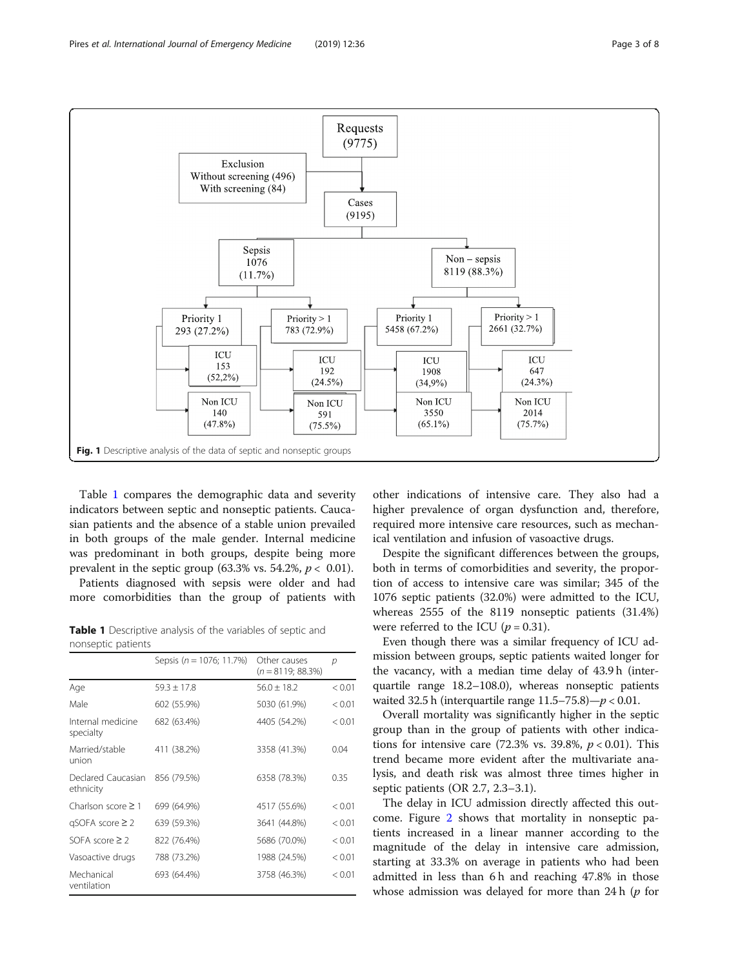<span id="page-2-0"></span>

Table 1 compares the demographic data and severity indicators between septic and nonseptic patients. Caucasian patients and the absence of a stable union prevailed in both groups of the male gender. Internal medicine was predominant in both groups, despite being more prevalent in the septic group (63.3% vs. 54.2%,  $p < 0.01$ ).

Patients diagnosed with sepsis were older and had more comorbidities than the group of patients with

Table 1 Descriptive analysis of the variables of septic and nonseptic patients

|                                 | Sepsis ( $n = 1076$ ; 11.7%) | Other causes<br>$(n = 8119; 88.3\%)$ | р      |
|---------------------------------|------------------------------|--------------------------------------|--------|
| Age                             | $59.3 + 17.8$                | $56.0 + 18.2$                        | < 0.01 |
| Male                            | 602 (55.9%)                  | 5030 (61.9%)                         | < 0.01 |
| Internal medicine<br>specialty  | 682 (63.4%)                  | 4405 (54.2%)                         | < 0.01 |
| Married/stable<br>union         | 411 (38.2%)                  | 3358 (41.3%)                         | 0.04   |
| Declared Caucasian<br>ethnicity | 856 (79.5%)                  | 6358 (78.3%)                         | 0.35   |
| Charlson score $\geq 1$         | 699 (64.9%)                  | 4517 (55.6%)                         | < 0.01 |
| $qSOFA score \geq 2$            | 639 (59.3%)                  | 3641 (44.8%)                         | < 0.01 |
| SOFA score $\geq$ 2             | 822 (76.4%)                  | 5686 (70.0%)                         | < 0.01 |
| Vasoactive drugs                | 788 (73.2%)                  | 1988 (24.5%)                         | < 0.01 |
| Mechanical<br>ventilation       | 693 (64.4%)                  | 3758 (46.3%)                         | < 0.01 |

other indications of intensive care. They also had a higher prevalence of organ dysfunction and, therefore, required more intensive care resources, such as mechanical ventilation and infusion of vasoactive drugs.

Despite the significant differences between the groups, both in terms of comorbidities and severity, the proportion of access to intensive care was similar; 345 of the 1076 septic patients (32.0%) were admitted to the ICU, whereas 2555 of the 8119 nonseptic patients (31.4%) were referred to the ICU ( $p = 0.31$ ).

Even though there was a similar frequency of ICU admission between groups, septic patients waited longer for the vacancy, with a median time delay of 43.9 h (interquartile range 18.2–108.0), whereas nonseptic patients waited 32.5 h (interquartile range  $11.5-75.8$ ) $-p < 0.01$ .

Overall mortality was significantly higher in the septic group than in the group of patients with other indications for intensive care  $(72.3\% \text{ vs. } 39.8\%, p < 0.01)$ . This trend became more evident after the multivariate analysis, and death risk was almost three times higher in septic patients (OR 2.7, 2.3–3.1).

The delay in ICU admission directly affected this outcome. Figure [2](#page-3-0) shows that mortality in nonseptic patients increased in a linear manner according to the magnitude of the delay in intensive care admission, starting at 33.3% on average in patients who had been admitted in less than 6 h and reaching 47.8% in those whose admission was delayed for more than 24 h  $(p$  for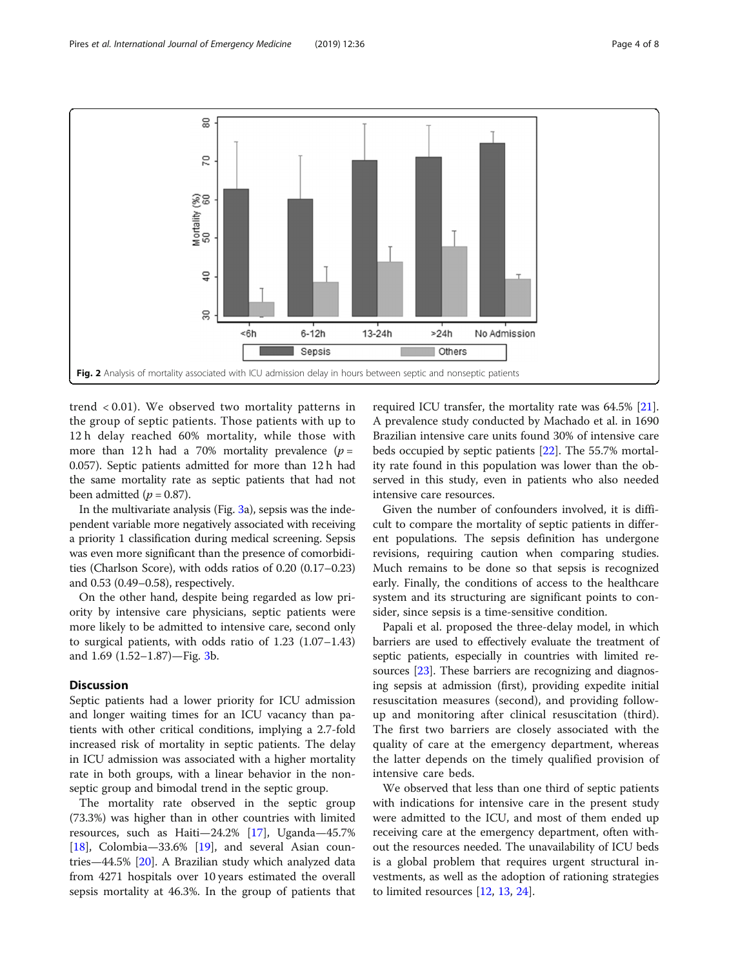<span id="page-3-0"></span>

trend < 0.01). We observed two mortality patterns in the group of septic patients. Those patients with up to 12 h delay reached 60% mortality, while those with more than 12 h had a 70% mortality prevalence ( $p =$ 0.057). Septic patients admitted for more than 12 h had the same mortality rate as septic patients that had not been admitted ( $p = 0.87$ ).

In the multivariate analysis (Fig. [3](#page-4-0)a), sepsis was the independent variable more negatively associated with receiving a priority 1 classification during medical screening. Sepsis was even more significant than the presence of comorbidities (Charlson Score), with odds ratios of 0.20 (0.17–0.23) and 0.53 (0.49–0.58), respectively.

On the other hand, despite being regarded as low priority by intensive care physicians, septic patients were more likely to be admitted to intensive care, second only to surgical patients, with odds ratio of 1.23 (1.07–1.43) and 1.69 (1.52–1.87)—Fig. [3b](#page-4-0).

# Discussion

Septic patients had a lower priority for ICU admission and longer waiting times for an ICU vacancy than patients with other critical conditions, implying a 2.7-fold increased risk of mortality in septic patients. The delay in ICU admission was associated with a higher mortality rate in both groups, with a linear behavior in the nonseptic group and bimodal trend in the septic group.

The mortality rate observed in the septic group (73.3%) was higher than in other countries with limited resources, such as Haiti—24.2% [\[17](#page-6-0)], Uganda—45.7% [[18\]](#page-6-0), Colombia—33.6% [\[19](#page-6-0)], and several Asian countries—44.5% [[20](#page-6-0)]. A Brazilian study which analyzed data from 4271 hospitals over 10 years estimated the overall sepsis mortality at 46.3%. In the group of patients that

required ICU transfer, the mortality rate was 64.5% [\[21](#page-6-0)]. A prevalence study conducted by Machado et al. in 1690 Brazilian intensive care units found 30% of intensive care beds occupied by septic patients [[22](#page-6-0)]. The 55.7% mortality rate found in this population was lower than the observed in this study, even in patients who also needed intensive care resources.

Given the number of confounders involved, it is difficult to compare the mortality of septic patients in different populations. The sepsis definition has undergone revisions, requiring caution when comparing studies. Much remains to be done so that sepsis is recognized early. Finally, the conditions of access to the healthcare system and its structuring are significant points to consider, since sepsis is a time-sensitive condition.

Papali et al. proposed the three-delay model, in which barriers are used to effectively evaluate the treatment of septic patients, especially in countries with limited re-sources [\[23\]](#page-6-0). These barriers are recognizing and diagnosing sepsis at admission (first), providing expedite initial resuscitation measures (second), and providing followup and monitoring after clinical resuscitation (third). The first two barriers are closely associated with the quality of care at the emergency department, whereas the latter depends on the timely qualified provision of intensive care beds.

We observed that less than one third of septic patients with indications for intensive care in the present study were admitted to the ICU, and most of them ended up receiving care at the emergency department, often without the resources needed. The unavailability of ICU beds is a global problem that requires urgent structural investments, as well as the adoption of rationing strategies to limited resources [\[12](#page-6-0), [13,](#page-6-0) [24\]](#page-6-0).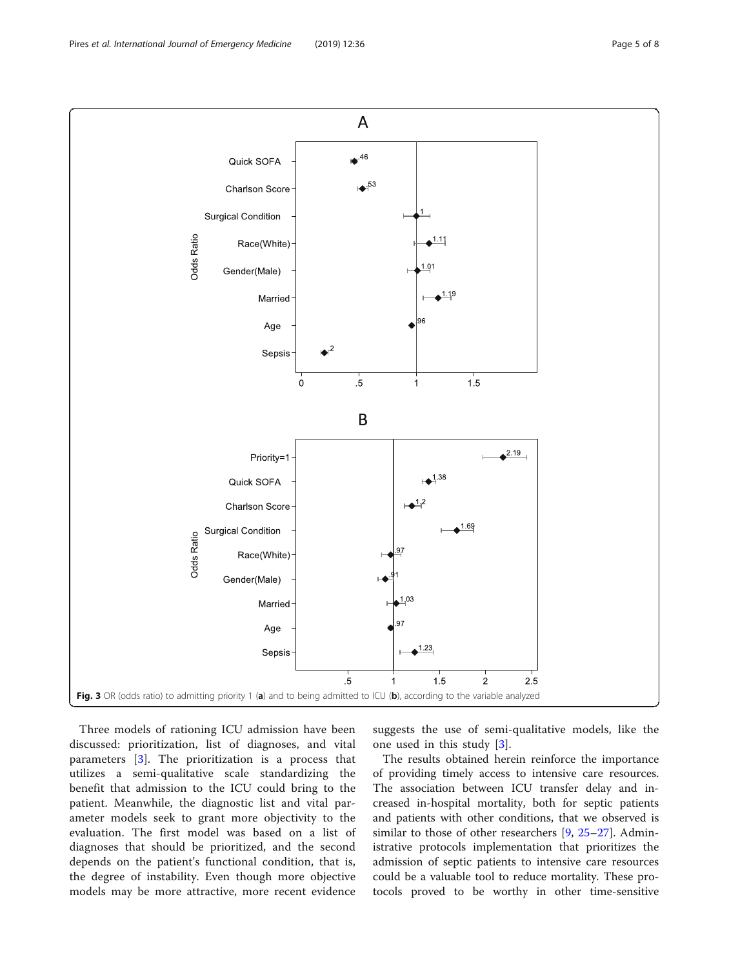<span id="page-4-0"></span>

Three models of rationing ICU admission have been discussed: prioritization, list of diagnoses, and vital parameters [\[3](#page-6-0)]. The prioritization is a process that utilizes a semi-qualitative scale standardizing the benefit that admission to the ICU could bring to the patient. Meanwhile, the diagnostic list and vital parameter models seek to grant more objectivity to the evaluation. The first model was based on a list of diagnoses that should be prioritized, and the second depends on the patient's functional condition, that is, the degree of instability. Even though more objective models may be more attractive, more recent evidence

suggests the use of semi-qualitative models, like the one used in this study [[3\]](#page-6-0).

The results obtained herein reinforce the importance of providing timely access to intensive care resources. The association between ICU transfer delay and increased in-hospital mortality, both for septic patients and patients with other conditions, that we observed is similar to those of other researchers [[9,](#page-6-0) [25](#page-6-0)–[27\]](#page-7-0). Administrative protocols implementation that prioritizes the admission of septic patients to intensive care resources could be a valuable tool to reduce mortality. These protocols proved to be worthy in other time-sensitive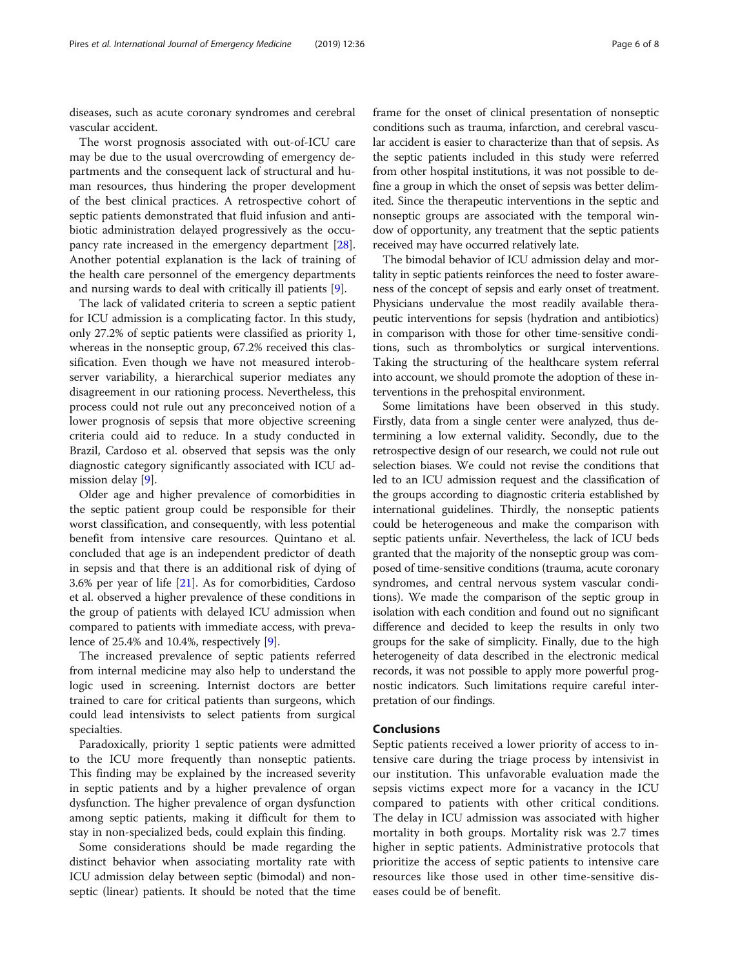diseases, such as acute coronary syndromes and cerebral vascular accident.

The worst prognosis associated with out-of-ICU care may be due to the usual overcrowding of emergency departments and the consequent lack of structural and human resources, thus hindering the proper development of the best clinical practices. A retrospective cohort of septic patients demonstrated that fluid infusion and antibiotic administration delayed progressively as the occupancy rate increased in the emergency department [\[28](#page-7-0)]. Another potential explanation is the lack of training of the health care personnel of the emergency departments and nursing wards to deal with critically ill patients [\[9](#page-6-0)].

The lack of validated criteria to screen a septic patient for ICU admission is a complicating factor. In this study, only 27.2% of septic patients were classified as priority 1, whereas in the nonseptic group, 67.2% received this classification. Even though we have not measured interobserver variability, a hierarchical superior mediates any disagreement in our rationing process. Nevertheless, this process could not rule out any preconceived notion of a lower prognosis of sepsis that more objective screening criteria could aid to reduce. In a study conducted in Brazil, Cardoso et al. observed that sepsis was the only diagnostic category significantly associated with ICU ad-mission delay [\[9](#page-6-0)].

Older age and higher prevalence of comorbidities in the septic patient group could be responsible for their worst classification, and consequently, with less potential benefit from intensive care resources. Quintano et al. concluded that age is an independent predictor of death in sepsis and that there is an additional risk of dying of 3.6% per year of life [[21\]](#page-6-0). As for comorbidities, Cardoso et al. observed a higher prevalence of these conditions in the group of patients with delayed ICU admission when compared to patients with immediate access, with prevalence of 25.4% and 10.4%, respectively [[9\]](#page-6-0).

The increased prevalence of septic patients referred from internal medicine may also help to understand the logic used in screening. Internist doctors are better trained to care for critical patients than surgeons, which could lead intensivists to select patients from surgical specialties.

Paradoxically, priority 1 septic patients were admitted to the ICU more frequently than nonseptic patients. This finding may be explained by the increased severity in septic patients and by a higher prevalence of organ dysfunction. The higher prevalence of organ dysfunction among septic patients, making it difficult for them to stay in non-specialized beds, could explain this finding.

Some considerations should be made regarding the distinct behavior when associating mortality rate with ICU admission delay between septic (bimodal) and nonseptic (linear) patients. It should be noted that the time frame for the onset of clinical presentation of nonseptic conditions such as trauma, infarction, and cerebral vascular accident is easier to characterize than that of sepsis. As the septic patients included in this study were referred from other hospital institutions, it was not possible to define a group in which the onset of sepsis was better delimited. Since the therapeutic interventions in the septic and nonseptic groups are associated with the temporal window of opportunity, any treatment that the septic patients received may have occurred relatively late.

The bimodal behavior of ICU admission delay and mortality in septic patients reinforces the need to foster awareness of the concept of sepsis and early onset of treatment. Physicians undervalue the most readily available therapeutic interventions for sepsis (hydration and antibiotics) in comparison with those for other time-sensitive conditions, such as thrombolytics or surgical interventions. Taking the structuring of the healthcare system referral into account, we should promote the adoption of these interventions in the prehospital environment.

Some limitations have been observed in this study. Firstly, data from a single center were analyzed, thus determining a low external validity. Secondly, due to the retrospective design of our research, we could not rule out selection biases. We could not revise the conditions that led to an ICU admission request and the classification of the groups according to diagnostic criteria established by international guidelines. Thirdly, the nonseptic patients could be heterogeneous and make the comparison with septic patients unfair. Nevertheless, the lack of ICU beds granted that the majority of the nonseptic group was composed of time-sensitive conditions (trauma, acute coronary syndromes, and central nervous system vascular conditions). We made the comparison of the septic group in isolation with each condition and found out no significant difference and decided to keep the results in only two groups for the sake of simplicity. Finally, due to the high heterogeneity of data described in the electronic medical records, it was not possible to apply more powerful prognostic indicators. Such limitations require careful interpretation of our findings.

## Conclusions

Septic patients received a lower priority of access to intensive care during the triage process by intensivist in our institution. This unfavorable evaluation made the sepsis victims expect more for a vacancy in the ICU compared to patients with other critical conditions. The delay in ICU admission was associated with higher mortality in both groups. Mortality risk was 2.7 times higher in septic patients. Administrative protocols that prioritize the access of septic patients to intensive care resources like those used in other time-sensitive diseases could be of benefit.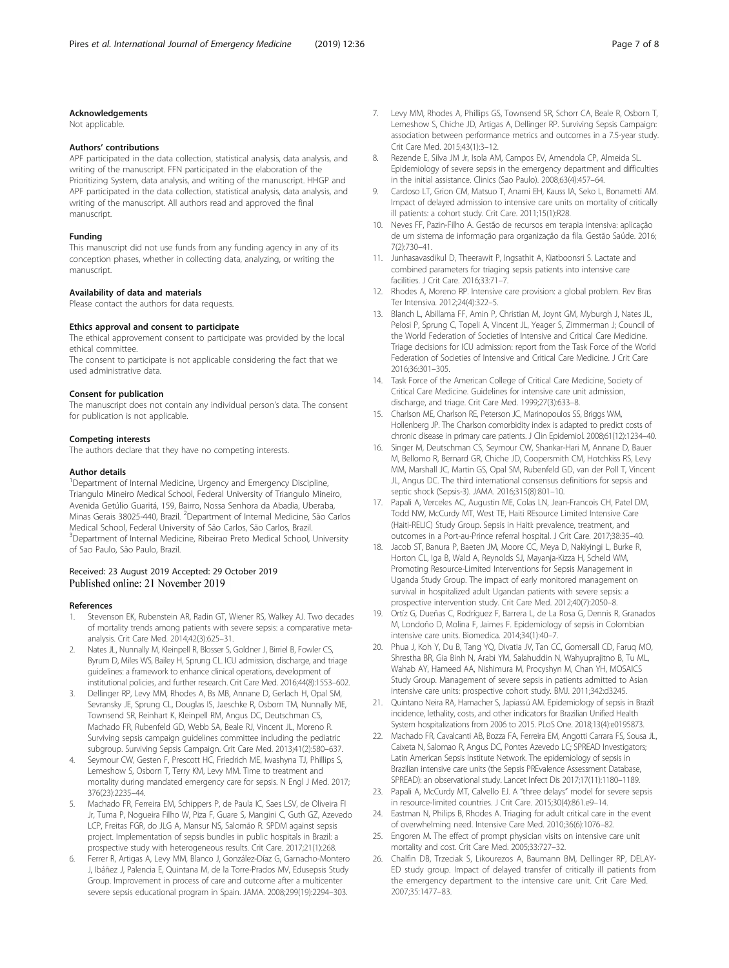#### <span id="page-6-0"></span>Acknowledgements

Not applicable.

#### Authors' contributions

APF participated in the data collection, statistical analysis, data analysis, and writing of the manuscript. FFN participated in the elaboration of the Prioritizing System, data analysis, and writing of the manuscript. HHGP and APF participated in the data collection, statistical analysis, data analysis, and writing of the manuscript. All authors read and approved the final manuscript.

#### Funding

This manuscript did not use funds from any funding agency in any of its conception phases, whether in collecting data, analyzing, or writing the manuscript.

#### Availability of data and materials

Please contact the authors for data requests.

#### Ethics approval and consent to participate

The ethical approvement consent to participate was provided by the local ethical committee.

The consent to participate is not applicable considering the fact that we used administrative data.

#### Consent for publication

The manuscript does not contain any individual person's data. The consent for publication is not applicable.

#### Competing interests

The authors declare that they have no competing interests.

#### Author details

<sup>1</sup>Department of Internal Medicine, Urgency and Emergency Discipline, Triangulo Mineiro Medical School, Federal University of Triangulo Mineiro, Avenida Getúlio Guaritá, 159, Bairro, Nossa Senhora da Abadia, Uberaba, Minas Gerais 38025-440, Brazil. <sup>2</sup>Department of Internal Medicine, São Carlos Medical School, Federal University of São Carlos, São Carlos, Brazil. <sup>3</sup>Department of Internal Medicine, Ribeirao Preto Medical School, University of Sao Paulo, São Paulo, Brazil.

#### Received: 23 August 2019 Accepted: 29 October 2019 Published online: 21 November 2019

#### References

- 1. Stevenson EK, Rubenstein AR, Radin GT, Wiener RS, Walkey AJ. Two decades of mortality trends among patients with severe sepsis: a comparative metaanalysis. Crit Care Med. 2014;42(3):625–31.
- 2. Nates JL, Nunnally M, Kleinpell R, Blosser S, Goldner J, Birriel B, Fowler CS, Byrum D, Miles WS, Bailey H, Sprung CL. ICU admission, discharge, and triage guidelines: a framework to enhance clinical operations, development of institutional policies, and further research. Crit Care Med. 2016;44(8):1553–602.
- Dellinger RP, Levy MM, Rhodes A, Bs MB, Annane D, Gerlach H, Opal SM, Sevransky JE, Sprung CL, Douglas IS, Jaeschke R, Osborn TM, Nunnally ME, Townsend SR, Reinhart K, Kleinpell RM, Angus DC, Deutschman CS, Machado FR, Rubenfeld GD, Webb SA, Beale RJ, Vincent JL, Moreno R. Surviving sepsis campaign guidelines committee including the pediatric subgroup. Surviving Sepsis Campaign. Crit Care Med. 2013;41(2):580–637.
- Seymour CW, Gesten F, Prescott HC, Friedrich ME, Iwashyna TJ, Phillips S, Lemeshow S, Osborn T, Terry KM, Levy MM. Time to treatment and mortality during mandated emergency care for sepsis. N Engl J Med. 2017; 376(23):2235–44.
- 5. Machado FR, Ferreira EM, Schippers P, de Paula IC, Saes LSV, de Oliveira FI Jr, Tuma P, Nogueira Filho W, Piza F, Guare S, Mangini C, Guth GZ, Azevedo LCP, Freitas FGR, do JLG A, Mansur NS, Salomão R. SPDM against sepsis project. Implementation of sepsis bundles in public hospitals in Brazil: a prospective study with heterogeneous results. Crit Care. 2017;21(1):268.
- 6. Ferrer R, Artigas A, Levy MM, Blanco J, González-Díaz G, Garnacho-Montero J, Ibáñez J, Palencia E, Quintana M, de la Torre-Prados MV, Edusepsis Study Group. Improvement in process of care and outcome after a multicenter severe sepsis educational program in Spain. JAMA. 2008;299(19):2294–303.
- 7. Levy MM, Rhodes A, Phillips GS, Townsend SR, Schorr CA, Beale R, Osborn T, Lemeshow S, Chiche JD, Artigas A, Dellinger RP. Surviving Sepsis Campaign: association between performance metrics and outcomes in a 7.5-year study. Crit Care Med. 2015;43(1):3–12.
- 8. Rezende E, Silva JM Jr, Isola AM, Campos EV, Amendola CP, Almeida SL. Epidemiology of severe sepsis in the emergency department and difficulties in the initial assistance. Clinics (Sao Paulo). 2008;63(4):457–64.
- 9. Cardoso LT, Grion CM, Matsuo T, Anami EH, Kauss IA, Seko L, Bonametti AM. Impact of delayed admission to intensive care units on mortality of critically ill patients: a cohort study. Crit Care. 2011;15(1):R28.
- 10. Neves FF, Pazin-Filho A. Gestão de recursos em terapia intensiva: aplicação de um sistema de informação para organização da fila. Gestão Saúde. 2016; 7(2):730–41.
- 11. Junhasavasdikul D, Theerawit P, Ingsathit A, Kiatboonsri S. Lactate and combined parameters for triaging sepsis patients into intensive care facilities. J Crit Care. 2016;33:71–7.
- 12. Rhodes A, Moreno RP. Intensive care provision: a global problem. Rev Bras Ter Intensiva. 2012;24(4):322–5.
- 13. Blanch L, Abillama FF, Amin P, Christian M, Joynt GM, Myburgh J, Nates JL, Pelosi P, Sprung C, Topeli A, Vincent JL, Yeager S, Zimmerman J; Council of the World Federation of Societies of Intensive and Critical Care Medicine. Triage decisions for ICU admission: report from the Task Force of the World Federation of Societies of Intensive and Critical Care Medicine. J Crit Care 2016;36:301–305.
- 14. Task Force of the American College of Critical Care Medicine, Society of Critical Care Medicine. Guidelines for intensive care unit admission, discharge, and triage. Crit Care Med. 1999;27(3):633–8.
- 15. Charlson ME, Charlson RE, Peterson JC, Marinopoulos SS, Briggs WM, Hollenberg JP. The Charlson comorbidity index is adapted to predict costs of chronic disease in primary care patients. J Clin Epidemiol. 2008;61(12):1234–40.
- 16. Singer M, Deutschman CS, Seymour CW, Shankar-Hari M, Annane D, Bauer M, Bellomo R, Bernard GR, Chiche JD, Coopersmith CM, Hotchkiss RS, Levy MM, Marshall JC, Martin GS, Opal SM, Rubenfeld GD, van der Poll T, Vincent JL, Angus DC. The third international consensus definitions for sepsis and septic shock (Sepsis-3). JAMA. 2016;315(8):801–10.
- 17. Papali A, Verceles AC, Augustin ME, Colas LN, Jean-Francois CH, Patel DM, Todd NW, McCurdy MT, West TE, Haiti REsource Limited Intensive Care (Haiti-RELIC) Study Group. Sepsis in Haiti: prevalence, treatment, and outcomes in a Port-au-Prince referral hospital. J Crit Care. 2017;38:35–40.
- 18. Jacob ST, Banura P, Baeten JM, Moore CC, Meya D, Nakiyingi L, Burke R, Horton CL, Iga B, Wald A, Reynolds SJ, Mayanja-Kizza H, Scheld WM, Promoting Resource-Limited Interventions for Sepsis Management in Uganda Study Group. The impact of early monitored management on survival in hospitalized adult Ugandan patients with severe sepsis: a prospective intervention study. Crit Care Med. 2012;40(7):2050–8.
- 19. Ortíz G, Dueñas C, Rodríguez F, Barrera L, de La Rosa G, Dennis R, Granados M, Londoño D, Molina F, Jaimes F. Epidemiology of sepsis in Colombian intensive care units. Biomedica. 2014;34(1):40–7.
- 20. Phua J, Koh Y, Du B, Tang YQ, Divatia JV, Tan CC, Gomersall CD, Faruq MO, Shrestha BR, Gia Binh N, Arabi YM, Salahuddin N, Wahyuprajitno B, Tu ML, Wahab AY, Hameed AA, Nishimura M, Procyshyn M, Chan YH, MOSAICS Study Group. Management of severe sepsis in patients admitted to Asian intensive care units: prospective cohort study. BMJ. 2011;342:d3245.
- 21. Quintano Neira RA, Hamacher S, Japiassú AM. Epidemiology of sepsis in Brazil: incidence, lethality, costs, and other indicators for Brazilian Unified Health System hospitalizations from 2006 to 2015. PLoS One. 2018;13(4):e0195873.
- 22. Machado FR, Cavalcanti AB, Bozza FA, Ferreira EM, Angotti Carrara FS, Sousa JL, Caixeta N, Salomao R, Angus DC, Pontes Azevedo LC; SPREAD Investigators; Latin American Sepsis Institute Network. The epidemiology of sepsis in Brazilian intensive care units (the Sepsis PREvalence Assessment Database, SPREAD): an observational study. Lancet Infect Dis 2017;17(11):1180–1189.
- 23. Papali A, McCurdy MT, Calvello EJ. A "three delays" model for severe sepsis in resource-limited countries. J Crit Care. 2015;30(4):861.e9–14.
- 24. Eastman N, Philips B, Rhodes A. Triaging for adult critical care in the event of overwhelming need. Intensive Care Med. 2010;36(6):1076–82.
- 25. Engoren M. The effect of prompt physician visits on intensive care unit mortality and cost. Crit Care Med. 2005;33:727–32.
- 26. Chalfin DB, Trzeciak S, Likourezos A, Baumann BM, Dellinger RP, DELAY-ED study group. Impact of delayed transfer of critically ill patients from the emergency department to the intensive care unit. Crit Care Med. 2007;35:1477–83.